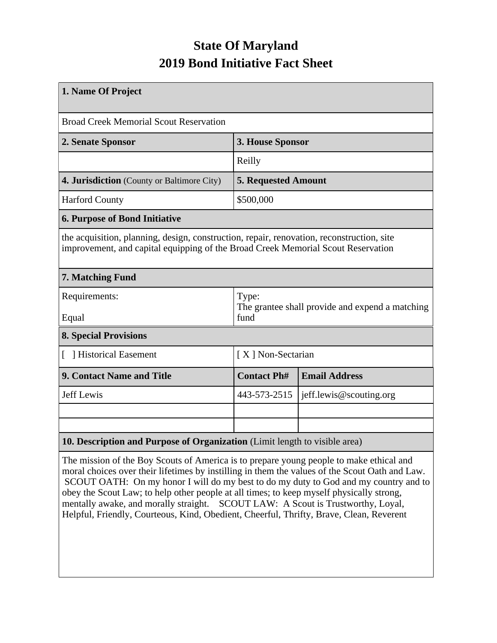## **State Of Maryland 2019 Bond Initiative Fact Sheet**

| 1. Name Of Project                                                                                                                                                            |                                                                  |                         |  |  |  |
|-------------------------------------------------------------------------------------------------------------------------------------------------------------------------------|------------------------------------------------------------------|-------------------------|--|--|--|
| <b>Broad Creek Memorial Scout Reservation</b>                                                                                                                                 |                                                                  |                         |  |  |  |
| 2. Senate Sponsor                                                                                                                                                             | 3. House Sponsor                                                 |                         |  |  |  |
|                                                                                                                                                                               | Reilly                                                           |                         |  |  |  |
| 4. Jurisdiction (County or Baltimore City)                                                                                                                                    | <b>5. Requested Amount</b>                                       |                         |  |  |  |
| <b>Harford County</b>                                                                                                                                                         | \$500,000                                                        |                         |  |  |  |
| <b>6. Purpose of Bond Initiative</b>                                                                                                                                          |                                                                  |                         |  |  |  |
| the acquisition, planning, design, construction, repair, renovation, reconstruction, site<br>improvement, and capital equipping of the Broad Creek Memorial Scout Reservation |                                                                  |                         |  |  |  |
| 7. Matching Fund                                                                                                                                                              |                                                                  |                         |  |  |  |
| Requirements:<br>Equal                                                                                                                                                        | Type:<br>The grantee shall provide and expend a matching<br>fund |                         |  |  |  |
| <b>8. Special Provisions</b>                                                                                                                                                  |                                                                  |                         |  |  |  |
|                                                                                                                                                                               |                                                                  |                         |  |  |  |
| [ ] Historical Easement                                                                                                                                                       | [X] Non-Sectarian                                                |                         |  |  |  |
| 9. Contact Name and Title                                                                                                                                                     | <b>Contact Ph#</b>                                               | <b>Email Address</b>    |  |  |  |
| <b>Jeff Lewis</b>                                                                                                                                                             | 443-573-2515                                                     | jeff.lewis@scouting.org |  |  |  |
|                                                                                                                                                                               |                                                                  |                         |  |  |  |
|                                                                                                                                                                               |                                                                  |                         |  |  |  |
| 10. Description and Purpose of Organization (Limit length to visible area)                                                                                                    |                                                                  |                         |  |  |  |

The mission of the Boy Scouts of America is to prepare young people to make ethical and moral choices over their lifetimes by instilling in them the values of the Scout Oath and Law. SCOUT OATH: On my honor I will do my best to do my duty to God and my country and to obey the Scout Law; to help other people at all times; to keep myself physically strong, mentally awake, and morally straight. SCOUT LAW: A Scout is Trustworthy, Loyal, Helpful, Friendly, Courteous, Kind, Obedient, Cheerful, Thrifty, Brave, Clean, Reverent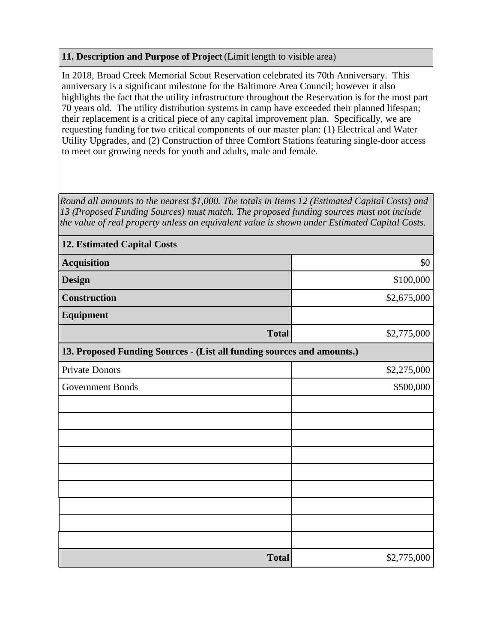## **11. Description and Purpose of Project** (Limit length to visible area)

In 2018, Broad Creek Memorial Scout Reservation celebrated its 70th Anniversary. This anniversary is a significant milestone for the Baltimore Area Council; however it also highlights the fact that the utility infrastructure throughout the Reservation is for the most part 70 years old. The utility distribution systems in camp have exceeded their planned lifespan; their replacement is a critical piece of any capital improvement plan. Specifically, we are requesting funding for two critical components of our master plan: (1) Electrical and Water Utility Upgrades, and (2) Construction of three Comfort Stations featuring single-door access to meet our growing needs for youth and adults, male and female.

*Round all amounts to the nearest \$1,000. The totals in Items 12 (Estimated Capital Costs) and 13 (Proposed Funding Sources) must match. The proposed funding sources must not include the value of real property unless an equivalent value is shown under Estimated Capital Costs.*

| <b>12. Estimated Capital Costs</b>                                     |             |  |  |  |  |
|------------------------------------------------------------------------|-------------|--|--|--|--|
| <b>Acquisition</b>                                                     | \$0         |  |  |  |  |
| <b>Design</b>                                                          | \$100,000   |  |  |  |  |
| <b>Construction</b>                                                    | \$2,675,000 |  |  |  |  |
| Equipment                                                              |             |  |  |  |  |
| <b>Total</b>                                                           | \$2,775,000 |  |  |  |  |
| 13. Proposed Funding Sources - (List all funding sources and amounts.) |             |  |  |  |  |
| Private Donors                                                         | \$2,275,000 |  |  |  |  |
| <b>Government Bonds</b>                                                | \$500,000   |  |  |  |  |
|                                                                        |             |  |  |  |  |
|                                                                        |             |  |  |  |  |
|                                                                        |             |  |  |  |  |
|                                                                        |             |  |  |  |  |
|                                                                        |             |  |  |  |  |
|                                                                        |             |  |  |  |  |
|                                                                        |             |  |  |  |  |
|                                                                        |             |  |  |  |  |
|                                                                        |             |  |  |  |  |
| <b>Total</b>                                                           | \$2,775,000 |  |  |  |  |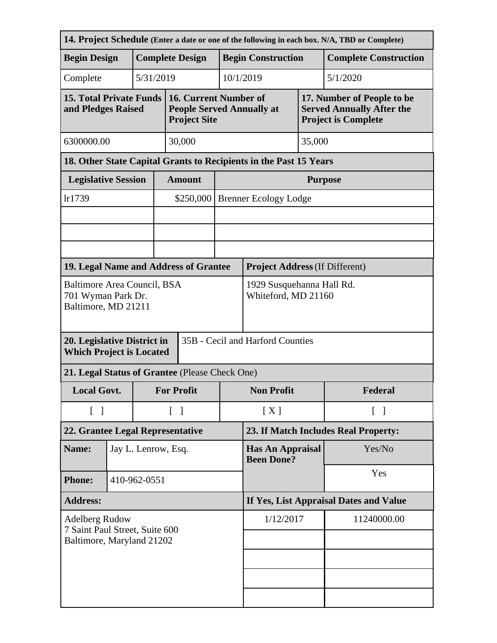|                                                                                      |              |                        |                                                  |                                                                                  |                           |                                              |     | 14. Project Schedule (Enter a date or one of the following in each box. N/A, TBD or Complete) |  |
|--------------------------------------------------------------------------------------|--------------|------------------------|--------------------------------------------------|----------------------------------------------------------------------------------|---------------------------|----------------------------------------------|-----|-----------------------------------------------------------------------------------------------|--|
| <b>Begin Design</b>                                                                  |              | <b>Complete Design</b> |                                                  |                                                                                  | <b>Begin Construction</b> |                                              |     | <b>Complete Construction</b>                                                                  |  |
| Complete                                                                             |              |                        | 5/31/2019                                        |                                                                                  |                           | 10/1/2019<br>5/1/2020                        |     |                                                                                               |  |
| <b>15. Total Private Funds</b><br>and Pledges Raised                                 |              |                        |                                                  | 16. Current Number of<br><b>People Served Annually at</b><br><b>Project Site</b> |                           |                                              |     | 17. Number of People to be<br><b>Served Annually After the</b><br><b>Project is Complete</b>  |  |
| 6300000.00                                                                           |              |                        | 30,000                                           |                                                                                  | 35,000                    |                                              |     |                                                                                               |  |
| 18. Other State Capital Grants to Recipients in the Past 15 Years                    |              |                        |                                                  |                                                                                  |                           |                                              |     |                                                                                               |  |
| <b>Legislative Session</b>                                                           |              |                        |                                                  | <b>Amount</b>                                                                    |                           | <b>Purpose</b>                               |     |                                                                                               |  |
| lr1739                                                                               |              |                        |                                                  | \$250,000                                                                        |                           | <b>Brenner Ecology Lodge</b>                 |     |                                                                                               |  |
|                                                                                      |              |                        |                                                  |                                                                                  |                           |                                              |     |                                                                                               |  |
|                                                                                      |              |                        |                                                  |                                                                                  |                           |                                              |     |                                                                                               |  |
|                                                                                      |              |                        |                                                  |                                                                                  |                           |                                              |     |                                                                                               |  |
| 19. Legal Name and Address of Grantee                                                |              |                        |                                                  |                                                                                  |                           | <b>Project Address (If Different)</b>        |     |                                                                                               |  |
| Baltimore Area Council, BSA<br>701 Wyman Park Dr.<br>Baltimore, MD 21211             |              |                        | 1929 Susquehanna Hall Rd.<br>Whiteford, MD 21160 |                                                                                  |                           |                                              |     |                                                                                               |  |
| 20. Legislative District in<br><b>Which Project is Located</b>                       |              |                        |                                                  | 35B - Cecil and Harford Counties                                                 |                           |                                              |     |                                                                                               |  |
| 21. Legal Status of Grantee (Please Check One)                                       |              |                        |                                                  |                                                                                  |                           |                                              |     |                                                                                               |  |
| <b>Local Govt.</b>                                                                   |              |                        |                                                  | <b>For Profit</b>                                                                |                           | <b>Non Profit</b>                            |     | Federal                                                                                       |  |
| $\begin{bmatrix} 1 \end{bmatrix}$                                                    |              |                        |                                                  | $\lceil \; \rceil$                                                               |                           | [X]<br>$\lceil \; \rceil$                    |     |                                                                                               |  |
| 22. Grantee Legal Representative                                                     |              |                        | 23. If Match Includes Real Property:             |                                                                                  |                           |                                              |     |                                                                                               |  |
| Name:                                                                                |              | Jay L. Lenrow, Esq.    |                                                  |                                                                                  |                           | <b>Has An Appraisal</b><br><b>Been Done?</b> |     | Yes/No                                                                                        |  |
| <b>Phone:</b>                                                                        | 410-962-0551 |                        |                                                  |                                                                                  |                           |                                              | Yes |                                                                                               |  |
| <b>Address:</b>                                                                      |              |                        | If Yes, List Appraisal Dates and Value           |                                                                                  |                           |                                              |     |                                                                                               |  |
| <b>Adelberg Rudow</b><br>7 Saint Paul Street, Suite 600<br>Baltimore, Maryland 21202 |              |                        | 1/12/2017                                        |                                                                                  | 11240000.00               |                                              |     |                                                                                               |  |
|                                                                                      |              |                        |                                                  |                                                                                  |                           |                                              |     |                                                                                               |  |
|                                                                                      |              |                        |                                                  |                                                                                  |                           |                                              |     |                                                                                               |  |
|                                                                                      |              |                        |                                                  |                                                                                  |                           |                                              |     |                                                                                               |  |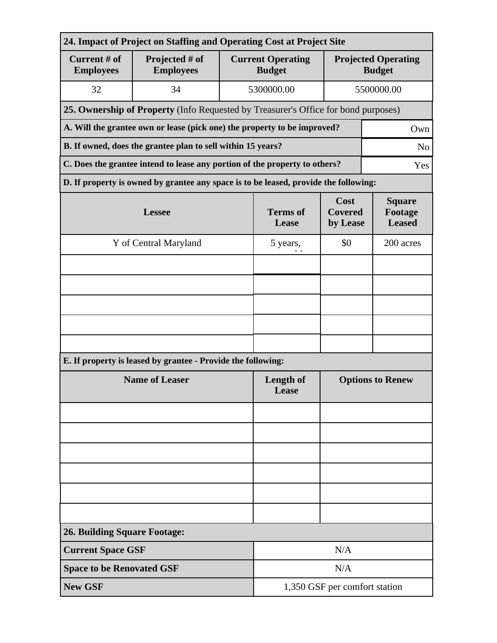| 24. Impact of Project on Staffing and Operating Cost at Project Site              |                                                                                      |                               |                                           |                                           |                                             |  |  |
|-----------------------------------------------------------------------------------|--------------------------------------------------------------------------------------|-------------------------------|-------------------------------------------|-------------------------------------------|---------------------------------------------|--|--|
| Current # of<br><b>Employees</b>                                                  | Projected # of<br><b>Employees</b>                                                   |                               | <b>Current Operating</b><br><b>Budget</b> |                                           | <b>Projected Operating</b><br><b>Budget</b> |  |  |
| 32                                                                                | 34                                                                                   |                               | 5300000.00                                |                                           | 5500000.00                                  |  |  |
|                                                                                   | 25. Ownership of Property (Info Requested by Treasurer's Office for bond purposes)   |                               |                                           |                                           |                                             |  |  |
| A. Will the grantee own or lease (pick one) the property to be improved?<br>Own   |                                                                                      |                               |                                           |                                           |                                             |  |  |
| B. If owned, does the grantee plan to sell within 15 years?<br>N <sub>o</sub>     |                                                                                      |                               |                                           |                                           |                                             |  |  |
| C. Does the grantee intend to lease any portion of the property to others?<br>Yes |                                                                                      |                               |                                           |                                           |                                             |  |  |
|                                                                                   | D. If property is owned by grantee any space is to be leased, provide the following: |                               |                                           |                                           |                                             |  |  |
|                                                                                   | <b>Lessee</b>                                                                        | <b>Terms</b> of<br>Lease      | Cost<br><b>Covered</b><br>by Lease        | <b>Square</b><br>Footage<br><b>Leased</b> |                                             |  |  |
|                                                                                   | Y of Central Maryland                                                                |                               | 5 years,                                  | \$0                                       | 200 acres                                   |  |  |
|                                                                                   |                                                                                      |                               |                                           |                                           |                                             |  |  |
|                                                                                   |                                                                                      |                               |                                           |                                           |                                             |  |  |
|                                                                                   |                                                                                      |                               |                                           |                                           |                                             |  |  |
|                                                                                   |                                                                                      |                               |                                           |                                           |                                             |  |  |
|                                                                                   |                                                                                      |                               |                                           |                                           |                                             |  |  |
|                                                                                   | E. If property is leased by grantee - Provide the following:                         |                               |                                           |                                           |                                             |  |  |
|                                                                                   | <b>Name of Leaser</b>                                                                | <b>Length of</b><br>Lease     | <b>Options to Renew</b>                   |                                           |                                             |  |  |
|                                                                                   |                                                                                      |                               |                                           |                                           |                                             |  |  |
|                                                                                   |                                                                                      |                               |                                           |                                           |                                             |  |  |
|                                                                                   |                                                                                      |                               |                                           |                                           |                                             |  |  |
|                                                                                   |                                                                                      |                               |                                           |                                           |                                             |  |  |
|                                                                                   |                                                                                      |                               |                                           |                                           |                                             |  |  |
|                                                                                   |                                                                                      |                               |                                           |                                           |                                             |  |  |
| <b>26. Building Square Footage:</b>                                               |                                                                                      |                               |                                           |                                           |                                             |  |  |
| <b>Current Space GSF</b>                                                          |                                                                                      | N/A                           |                                           |                                           |                                             |  |  |
| <b>Space to be Renovated GSF</b>                                                  |                                                                                      | N/A                           |                                           |                                           |                                             |  |  |
| <b>New GSF</b>                                                                    |                                                                                      | 1,350 GSF per comfort station |                                           |                                           |                                             |  |  |